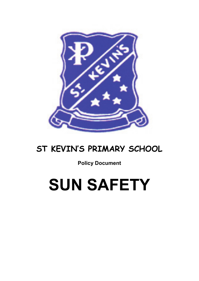

# **ST KEVIN'S PRIMARY SCHOOL**

**Policy Document**

# **SUN SAFETY**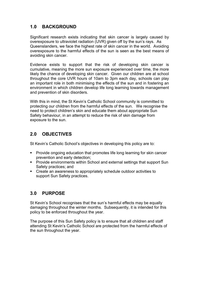## **1.0 BACKGROUND**

Significant research exists indicating that skin cancer is largely caused by overexposure to ultraviolet radiation (UVR) given off by the sun's rays. As Queenslanders, we face the highest rate of skin cancer in the world. Avoiding overexposure to the harmful effects of the sun is seen as the best means of avoiding skin cancer.

Evidence exists to support that the risk of developing skin cancer is cumulative, meaning the more sun exposure experienced over time, the more likely the chance of developing skin cancer. Given our children are at school throughout the core UVR hours of 10am to 3pm each day, schools can play an important role in both minimising the effects of the sun and in fostering an environment in which children develop life long learning towards management and prevention of skin disorders.

With this in mind, the St Kevin's Catholic School community is committed to protecting our children from the harmful effects of the sun. We recognise the need to protect children's skin and educate them about appropriate Sun Safety behaviour, in an attempt to reduce the risk of skin damage from exposure to the sun.

### **2.0 OBJECTIVES**

St Kevin's Catholic School's objectives in developing this policy are to:

- **Provide ongoing education that promotes life long learning for skin cancer** prevention and early detection;
- **Provide environments within School and external settings that support Sun** Safety practices; and
- Create an awareness to appropriately schedule outdoor activities to support Sun Safety practices.

### **3.0 PURPOSE**

St Kevin's School recognises that the sun's harmful effects may be equally damaging throughout the winter months. Subsequently, it is intended for this policy to be enforced throughout the year.

The purpose of this Sun Safety policy is to ensure that all children and staff attending St Kevin's Catholic School are protected from the harmful effects of the sun throughout the year.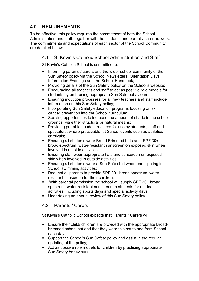# **4.0 REQUIREMENTS**

To be effective, this policy requires the commitment of both the School Administration and staff, together with the students and parent / carer network. The commitments and expectations of each sector of the School Community are detailed below.

#### 4.1 St Kevin's Catholic School Administration and Staff

St Kevin's Catholic School is committed to:

- Informing parents / carers and the wider school community of the Sun Safety policy via the School Newsletters; Orientation Days; Information Evenings and the School Handbook;
- Providing details of the Sun Safety policy on the School's website;
- **Encouraging all teachers and staff to act as positive role models for** students by embracing appropriate Sun Safe behaviours;
- **Ensuring induction processes for all new teachers and staff include** information on this Sun Safety policy;
- **Incorporating Sun Safety education programs focusing on skin** cancer prevention into the School curriculum;
- Seeking opportunities to increase the amount of shade in the school grounds, via either structural or natural means;
- Providing portable shade structures for use by students, staff and spectators, where practicable, at School events such as athletics carnivals;
- Ensuring all students wear Broad Brimmed hats and SPF 30+ broad-spectrum, water-resistant sunscreen on exposed skin when involved in outside activities;
- **Ensuring staff wear appropriate hats and sunscreen on exposed** skin when involved in outside activities;
- Ensuring all students wear a Sun Safe shirt when participating in School swimming activities;
- Request all parents to provide SPF 30+ broad spectrum, water resistant sunscreen for their children.
- With parental permission the school will supply SPF 30+ broad spectrum, water resistant sunscreen to students for outdoor activities, including sports days and special activity days.
- Undertaking an annual review of this Sun Safety policy.

#### 4.2 Parents / Carers

St Kevin's Catholic School expects that Parents / Carers will:

- **Ensure their child/ children are provided with the appropriate Broad**brimmed school hat and that they wear this hat to and from School each day;
- Support the School's Sun Safety policy and assist in the regular updating of the policy;
- **EXTEND FILTE Act as positive role models for children by practising appropriate** Sun Safety behaviours;